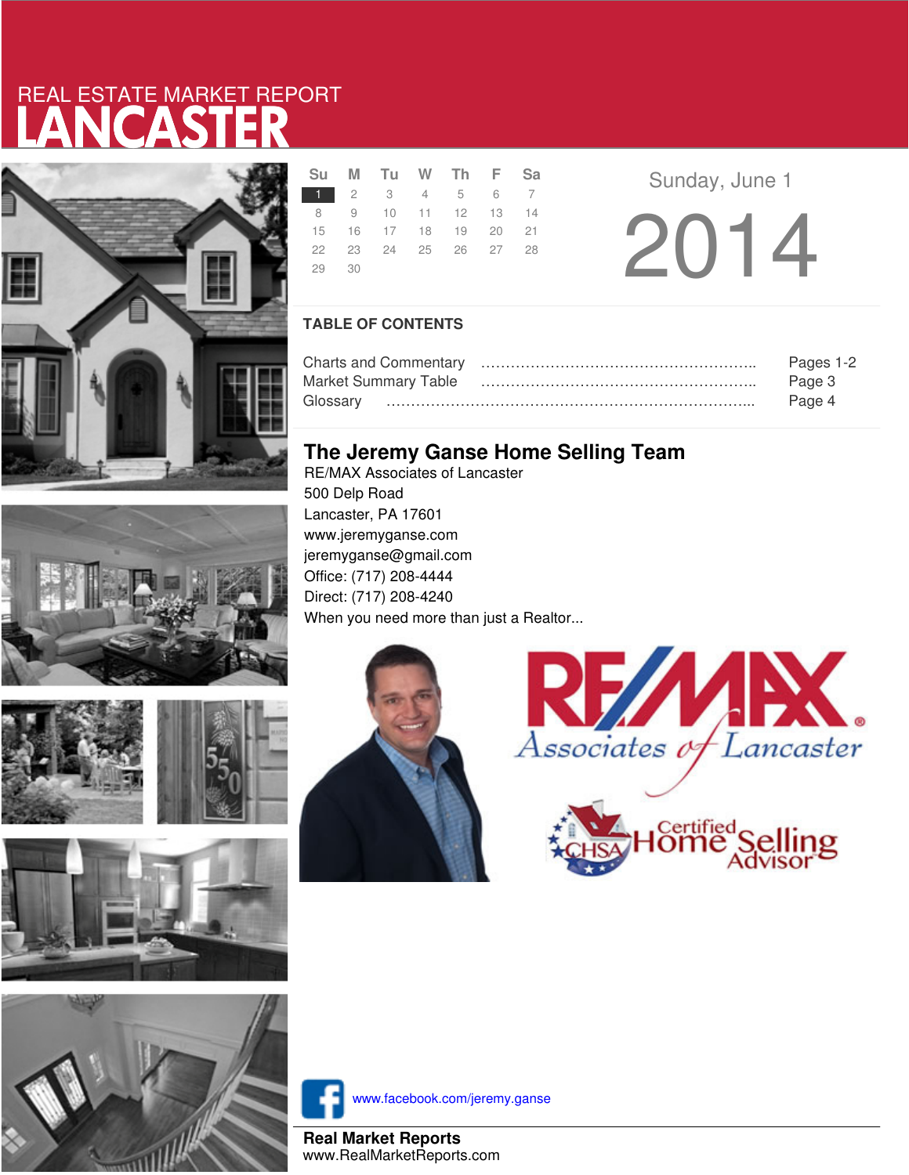# LANCASTER REAL ESTATE MARKET REPORT



|       | Su M Tu W Th F Sa    |  |  |
|-------|----------------------|--|--|
|       | 1 2 3 4 5 6 7        |  |  |
|       | 8 9 10 11 12 13 14   |  |  |
|       | 15 16 17 18 19 20 21 |  |  |
|       | 22 23 24 25 26 27 28 |  |  |
| 29 30 |                      |  |  |
|       |                      |  |  |

**a Sunday**, June 1 2014

### **TABLE OF CONTENTS**

|                      | Pages 1-2 |
|----------------------|-----------|
| Market Summary Table | Page 3    |
|                      | Page 4    |

### **The Jeremy Ganse Home Selling Team**

RE/MAX Associates of Lancaster 500 Delp Road Lancaster, PA 17601 www.jeremyganse.com jeremyganse@gmail.com Office: (717) 208-4444 Direct: (717) 208-4240 When you need more than just a Realtor...









www.facebook.com/jeremy.ganse

**Real Market Reports** www.RealMarketReports.com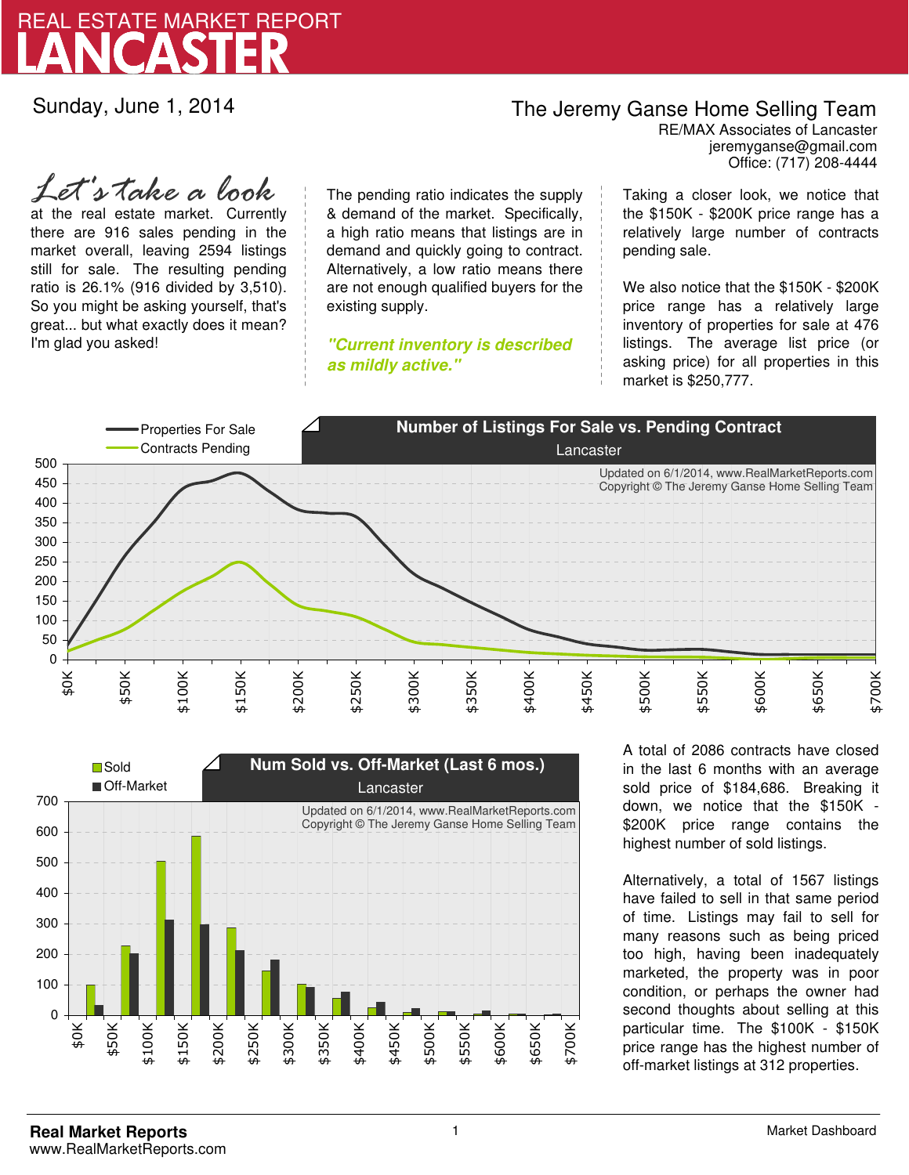

Sunday, June 1, 2014

## The Jeremy Ganse Home Selling Team

jeremyganse@gmail.com RE/MAX Associates of Lancaster Office: (717) 208-4444

at the real estate market. Currently there are 916 sales pending in the market overall, leaving 2594 listings still for sale. The resulting pending ratio is 26.1% (916 divided by 3,510). So you might be asking yourself, that's great... but what exactly does it mean? I'm glad you asked! *Let's take a look*

The pending ratio indicates the supply & demand of the market. Specifically, a high ratio means that listings are in demand and quickly going to contract. Alternatively, a low ratio means there are not enough qualified buyers for the existing supply.

**"Current inventory is described as mildly active."**

Taking a closer look, we notice that the \$150K - \$200K price range has a relatively large number of contracts pending sale.

We also notice that the \$150K - \$200K price range has a relatively large inventory of properties for sale at 476 listings. The average list price (or asking price) for all properties in this market is \$250,777.





A total of 2086 contracts have closed in the last 6 months with an average sold price of \$184,686. Breaking it down, we notice that the \$150K - \$200K price range contains the highest number of sold listings.

Alternatively, a total of 1567 listings have failed to sell in that same period of time. Listings may fail to sell for many reasons such as being priced too high, having been inadequately marketed, the property was in poor condition, or perhaps the owner had second thoughts about selling at this particular time. The \$100K - \$150K price range has the highest number of off-market listings at 312 properties.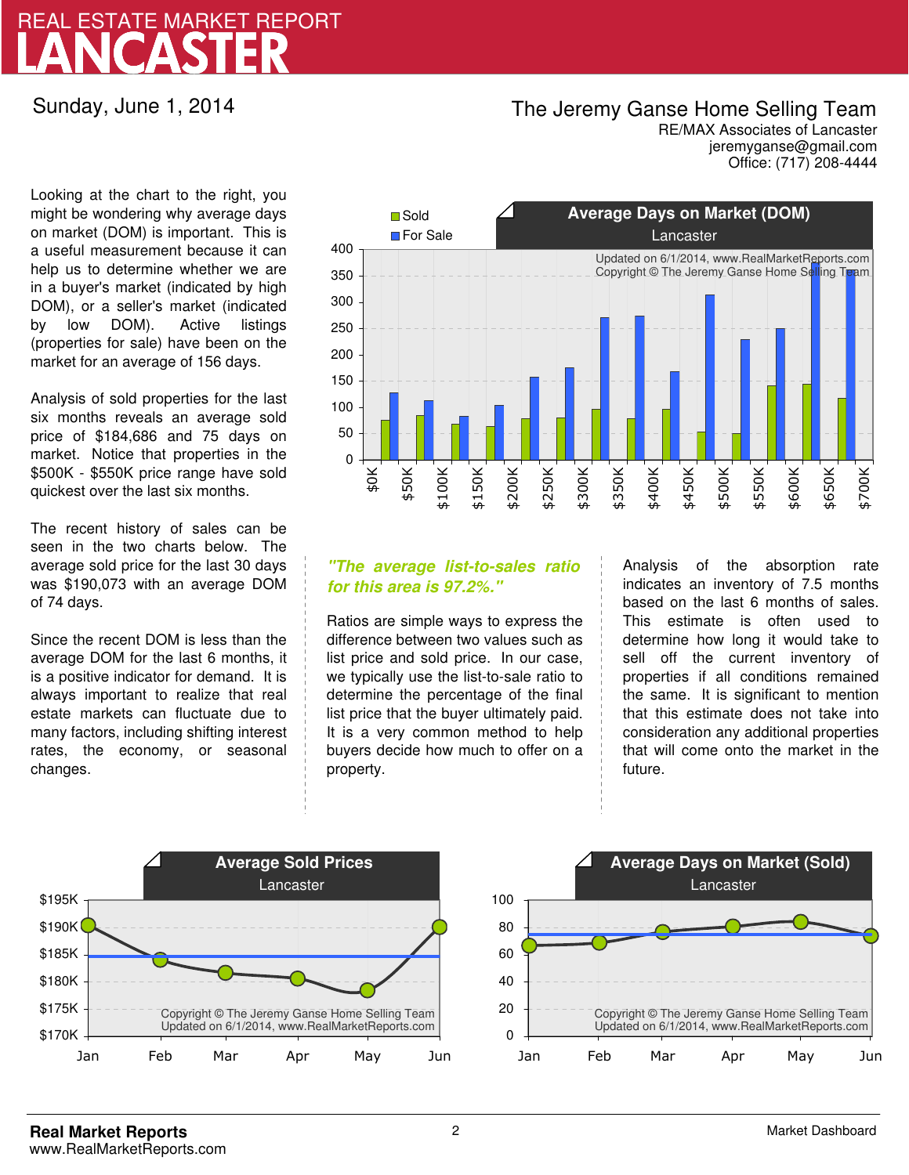## LANCASTER REAL ESTATE MARKET REPORT

Sunday, June 1, 2014

### The Jeremy Ganse Home Selling Team

jeremyganse@gmail.com RE/MAX Associates of Lancaster Office: (717) 208-4444

Looking at the chart to the right, you might be wondering why average days on market (DOM) is important. This is a useful measurement because it can help us to determine whether we are in a buyer's market (indicated by high DOM), or a seller's market (indicated by low DOM). Active listings (properties for sale) have been on the market for an average of 156 days.

Analysis of sold properties for the last six months reveals an average sold price of \$184,686 and 75 days on market. Notice that properties in the \$500K - \$550K price range have sold quickest over the last six months.

The recent history of sales can be seen in the two charts below. The average sold price for the last 30 days was \$190,073 with an average DOM of 74 days.

Since the recent DOM is less than the average DOM for the last 6 months, it is a positive indicator for demand. It is always important to realize that real estate markets can fluctuate due to many factors, including shifting interest rates, the economy, or seasonal changes.



### **"The average list-to-sales ratio for this area is 97.2%."**

Ratios are simple ways to express the difference between two values such as list price and sold price. In our case, we typically use the list-to-sale ratio to determine the percentage of the final list price that the buyer ultimately paid. It is a very common method to help buyers decide how much to offer on a property.

Analysis of the absorption rate indicates an inventory of 7.5 months based on the last 6 months of sales. This estimate is often used to determine how long it would take to sell off the current inventory of properties if all conditions remained the same. It is significant to mention that this estimate does not take into consideration any additional properties that will come onto the market in the future.



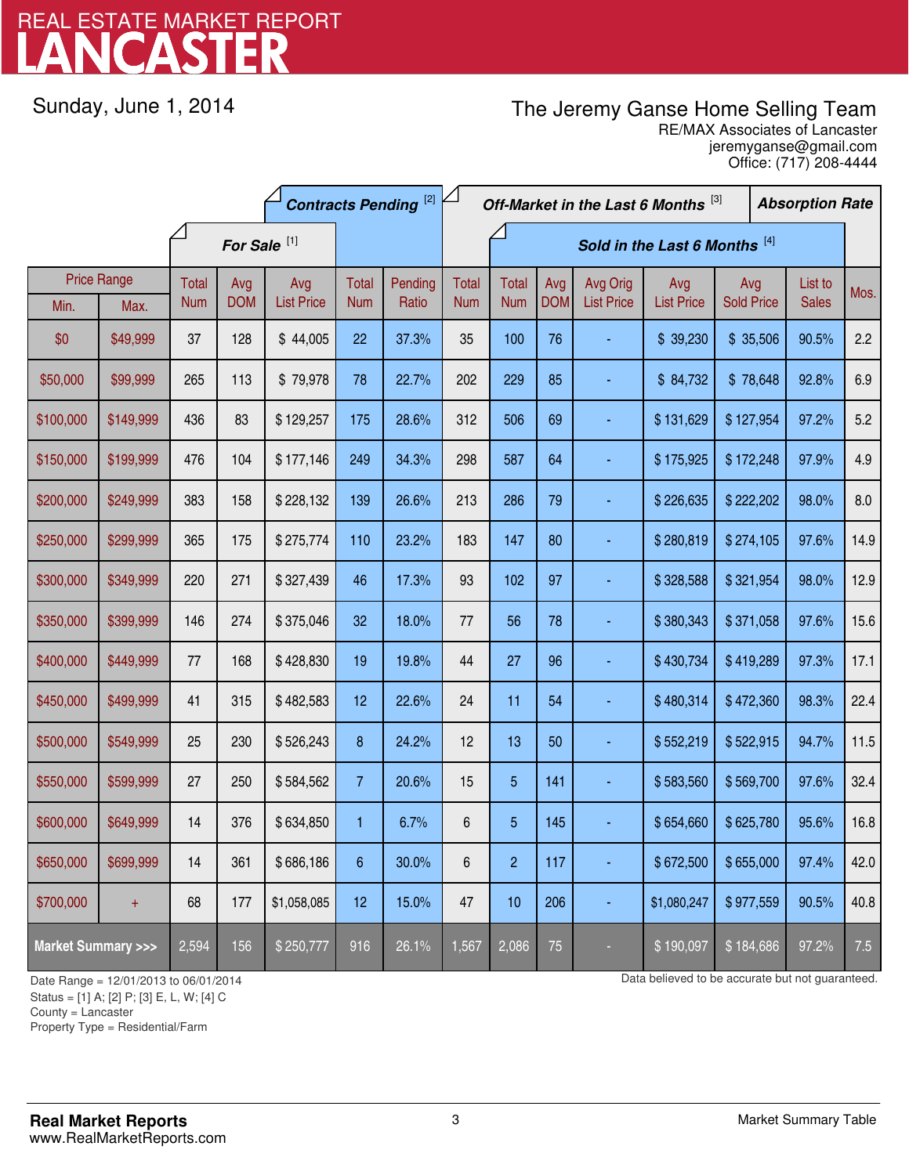# LANCASTER REAL ESTATE MARKET REPORT

Sunday, June 1, 2014

## The Jeremy Ganse Home Selling Team

jeremyganse@gmail.com RE/MAX Associates of Lancaster Office: (717) 208-4444

|                                    |                    | <b>Contracts Pending [2]</b> |                   |                   |                  | Off-Market in the Last 6 Months [3] |              |                |                   |                               | <b>Absorption Rate</b>   |                   |  |                         |      |
|------------------------------------|--------------------|------------------------------|-------------------|-------------------|------------------|-------------------------------------|--------------|----------------|-------------------|-------------------------------|--------------------------|-------------------|--|-------------------------|------|
|                                    |                    | For Sale <sup>[1]</sup>      |                   |                   |                  | Sold in the Last 6 Months [4]       |              |                |                   |                               |                          |                   |  |                         |      |
|                                    | <b>Price Range</b> | Total                        | Avg<br><b>DOM</b> | Avg               | Total            | Pending<br>Ratio                    | <b>Total</b> | <b>Total</b>   | Avg<br><b>DOM</b> | Avg Orig<br><b>List Price</b> | Avg<br><b>List Price</b> | Avg               |  | List to<br><b>Sales</b> | Mos. |
| Min.                               | Max.               | <b>Num</b>                   |                   | <b>List Price</b> | <b>Num</b>       |                                     | <b>Num</b>   | <b>Num</b>     |                   |                               |                          | <b>Sold Price</b> |  |                         |      |
| \$0                                | \$49,999           | 37                           | 128               | \$44,005          | 22               | 37.3%                               | 35           | 100            | 76                |                               | \$39,230                 | \$35,506          |  | 90.5%                   | 2.2  |
| \$50,000                           | \$99,999           | 265                          | 113               | \$79,978          | 78               | 22.7%                               | 202          | 229            | 85                |                               | \$84,732                 | \$78,648          |  | 92.8%                   | 6.9  |
| \$100,000                          | \$149,999          | 436                          | 83                | \$129,257         | 175              | 28.6%                               | 312          | 506            | 69                |                               | \$131,629                | \$127,954         |  | 97.2%                   | 5.2  |
| \$150,000                          | \$199,999          | 476                          | 104               | \$177,146         | 249              | 34.3%                               | 298          | 587            | 64                |                               | \$175,925                | \$172,248         |  | 97.9%                   | 4.9  |
| \$200,000                          | \$249,999          | 383                          | 158               | \$228,132         | 139              | 26.6%                               | 213          | 286            | 79                |                               | \$226,635                | \$222,202         |  | 98.0%                   | 8.0  |
| \$250,000                          | \$299,999          | 365                          | 175               | \$275,774         | 110              | 23.2%                               | 183          | 147            | 80                |                               | \$280,819                | \$274,105         |  | 97.6%                   | 14.9 |
| \$300,000                          | \$349,999          | 220                          | 271               | \$327,439         | 46               | 17.3%                               | 93           | 102            | 97                |                               | \$328,588                | \$321,954         |  | 98.0%                   | 12.9 |
| \$350,000                          | \$399,999          | 146                          | 274               | \$375,046         | 32               | 18.0%                               | 77           | 56             | 78                |                               | \$380,343                | \$371,058         |  | 97.6%                   | 15.6 |
| \$400,000                          | \$449,999          | 77                           | 168               | \$428,830         | 19               | 19.8%                               | 44           | 27             | 96                |                               | \$430,734                | \$419,289         |  | 97.3%                   | 17.1 |
| \$450,000                          | \$499,999          | 41                           | 315               | \$482,583         | 12               | 22.6%                               | 24           | 11             | 54                |                               | \$480,314                | \$472,360         |  | 98.3%                   | 22.4 |
| \$500,000                          | \$549,999          | 25                           | 230               | \$526,243         | $\boldsymbol{8}$ | 24.2%                               | 12           | 13             | 50                |                               | \$552,219                | \$522,915         |  | 94.7%                   | 11.5 |
| \$550,000                          | \$599,999          | 27                           | 250               | \$584,562         | $\overline{7}$   | 20.6%                               | 15           | 5              | 141               |                               | \$583,560                | \$569,700         |  | 97.6%                   | 32.4 |
| \$600,000                          | \$649,999          | 14                           | 376               | \$634,850         | 1                | 6.7%                                | 6            | $\overline{5}$ | 145               |                               | \$654,660                | \$625,780         |  | 95.6%                   | 16.8 |
| \$650,000                          | \$699,999          | 14                           | 361               | \$686,186         | 6                | 30.0%                               | 6            | $\overline{c}$ | 117               |                               | \$672,500                | \$655,000         |  | 97.4%                   | 42.0 |
| \$700,000                          | $+$                | 68                           | 177               | \$1,058,085       | 12               | 15.0%                               | 47           | 10             | 206               |                               | \$1,080,247              | \$977,559         |  | 90.5%                   | 40.8 |
| <b>Market Summary &gt;&gt;&gt;</b> |                    | 2,594                        | 156               | \$250,777         | 916              | 26.1%                               | 1,567        | 2,086          | 75                |                               | \$190,097                | \$184,686         |  | 97.2%                   | 7.5  |

Status = [1] A; [2] P; [3] E, L, W; [4] C

County = Lancaster

1

Property Type = Residential/Farm

Date Range = 12/01/2013 to 06/01/2014 Date Range = 12/01/2014